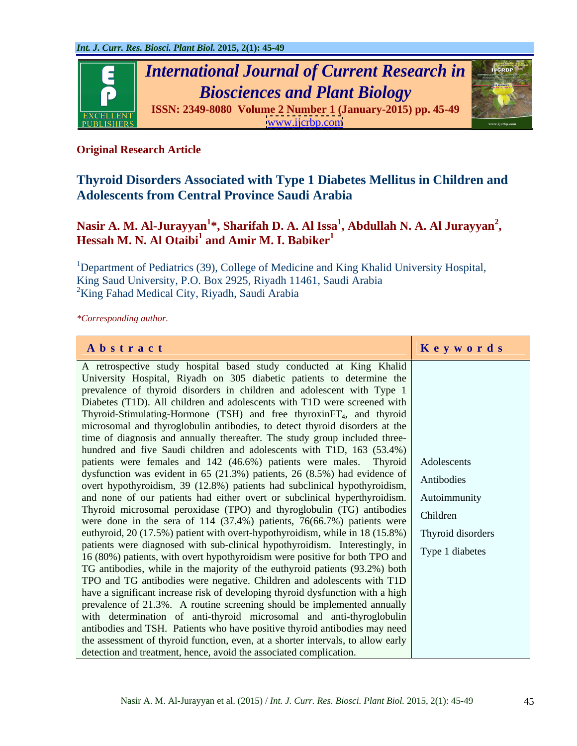

### **Original Research Article**

## **Thyroid Disorders Associated with Type 1 Diabetes Mellitus in Children and Adolescents from Central Province Saudi Arabia**

# <code>Nasir A. M. Al-Jurayyan $^{\text{1}*}$ , Sharifah D. A. Al Issa $^{\text{1}}$ , Abdullah N. A. Al Jurayyan $^{\text{2}}$ ,<br>Hessah M. N. Al Otaibi $^{\text{1}}$  and Amir M. I. Babiker $^{\text{1}}$ </code>

<sup>1</sup>Department of Pediatrics (39), College of Medicine and King Khalid University Hospital, King Saud University, P.O. Box 2925, Riyadh 11461, Saudi Arabia  ${}^{2}$ King Fahad Medical City, Riyadh, Saudi Arabia

*\*Corresponding author.*

| Abstract                                                                                                                                                   | Keywords          |
|------------------------------------------------------------------------------------------------------------------------------------------------------------|-------------------|
| A retrospective study hospital based study conducted at King Khalid                                                                                        |                   |
| University Hospital, Riyadh on 305 diabetic patients to determine the                                                                                      |                   |
| prevalence of thyroid disorders in children and adolescent with Type 1                                                                                     |                   |
| Diabetes (T1D). All children and adolescents with T1D were screened with                                                                                   |                   |
| Thyroid-Stimulating-Hormone (TSH) and free thyroxinFT <sub>4</sub> , and thyroid                                                                           |                   |
| microsomal and thyroglobulin antibodies, to detect thyroid disorders at the                                                                                |                   |
| time of diagnosis and annually thereafter. The study group included three-                                                                                 |                   |
| hundred and five Saudi children and adolescents with T1D, 163 (53.4%)                                                                                      |                   |
| patients were females and 142 (46.6%) patients were males. Thyroid                                                                                         | Adolescents       |
| dysfunction was evident in 65 (21.3%) patients, 26 (8.5%) had evidence of                                                                                  | Antibodies        |
| overt hypothyroidism, 39 (12.8%) patients had subclinical hypothyroidism,                                                                                  |                   |
| and none of our patients had either overt or subclinical hyperthyroidism.                                                                                  | Autoimmunity      |
| Thyroid microsomal peroxidase (TPO) and thyroglobulin (TG) antibodies                                                                                      | Children          |
| were done in the sera of $114$ (37.4%) patients, 76(66.7%) patients were                                                                                   |                   |
| euthyroid, 20 (17.5%) patient with overt-hypothyroidism, while in 18 (15.8%)                                                                               | Thyroid disorders |
| patients were diagnosed with sub-clinical hypothyroidism. Interestingly, in<br>16 (80%) patients, with overt hypothyroidism were positive for both TPO and | Type 1 diabetes   |
| TG antibodies, while in the majority of the euthyroid patients (93.2%) both                                                                                |                   |
| TPO and TG antibodies were negative. Children and adolescents with T1D                                                                                     |                   |
| have a significant increase risk of developing thyroid dysfunction with a high                                                                             |                   |
| prevalence of 21.3%. A routine screening should be implemented annually                                                                                    |                   |
| with determination of anti-thyroid microsomal and anti-thyroglobulin                                                                                       |                   |
| antibodies and TSH. Patients who have positive thyroid antibodies may need                                                                                 |                   |
| the assessment of thyroid function, even, at a shorter intervals, to allow early                                                                           |                   |
| detection and treatment, hence, avoid the associated complication.                                                                                         |                   |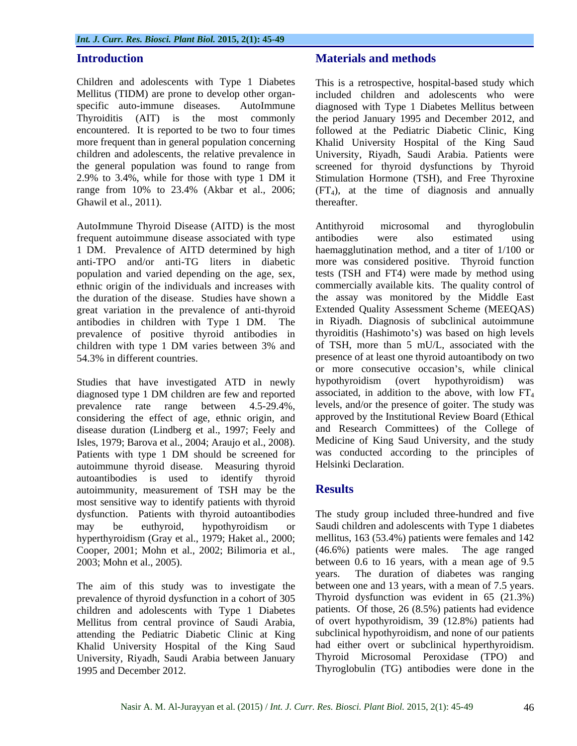Ghawil et al., 2011). thereafter.

AutoImmune Thyroid Disease (AITD) is the most frequent autoimmune disease associated with type antibodies were also estimated using 1 DM. Prevalence of AITD determined by high population and varied depending on the age, sex, ethnic origin of the individuals and increases with great variation in the prevalence of anti-thyroid prevalence of positive thyroid antibodies in children with type 1 DM varies between 3% and

diagnosed type 1 DM children are few and reported prevalence rate range between 4.5-29.4%, considering the effect of age, ethnic origin, and disease duration (Lindberg et al., 1997; Feely and Isles, 1979; Barova et al., 2004; Araujo et al., 2008). Patients with type 1 DM should be screened for autoimmune thyroid disease. Measuring thyroid autoantibodies is used to identify thyroid<br>autoimmunity measurement of TSH may be the **Results** autoimmunity, measurement of TSH may be the most sensitive way to identify patients with thyroid dysfunction. Patients with thyroid autoantibodies may be euthyroid, hypothyroidism or Saudi children and adolescents with Type 1 diabetes hyperthyroidism (Gray et al., 1979; Haket al., 2000; Cooper, 2001; Mohn et al., 2002; Bilimoria et al.,

The aim of this study was to investigate the prevalence of thyroid dysfunction in a cohort of 305 children and adolescents with Type 1 Diabetes Mellitus from central province of Saudi Arabia, attending the Pediatric Diabetic Clinic at King Khalid University Hospital of the King Saud University, Riyadh, Saudi Arabia between January 1995 and December 2012. Thyroglobulin (TG) antibodies were done in the

#### **Introduction Introduction Materials and methods Materials and methods**

Children and adolescents with Type 1 Diabetes This is a retrospective, hospital-based study which Mellitus (TIDM) are prone to develop other organ- included children and adolescents who were specific auto-immune diseases. AutoImmune diagnosed with Type 1 Diabetes Mellitus between Thyroiditis (AIT) is the most commonly the period January 1995 and December 2012, and encountered. It is reported to be two to four times followed at the Pediatric Diabetic Clinic, King more frequent than in general population concerning Khalid University Hospital of the King Saud children and adolescents, the relative prevalence in University, Riyadh, Saudi Arabia. Patients were the general population was found to range from screened for thyroid dysfunctions by Thyroid 2.9% to 3.4%, while for those with type 1 DM it Stimulation Hormone (TSH), and Free Thyroxine range from  $10\%$  to  $23.4\%$  (Akbar et al., 2006; (FT<sub>4</sub>), at the time of diagnosis and annually thereafter.

anti-TPO and/or anti-TG liters in diabetic more was considered positive. Thyroid function the duration of the disease. Studies have shown a the assay was monitored by the Middle East antibodies in children with Type 1 DM. The in Riyadh. Diagnosis of subclinical autoimmune 54.3% in different countries. presence of at least one thyroid autoantibody on two Studies that have investigated ATD in newly hypothyroidism (overt hypothyroidism) was Antithyroid microsomal and thyroglobulin antibodies were also estimated using haemagglutination method, and a titer of 1/100 or tests (TSH and FT4) were made by method using commercially available kits. The quality control of Extended Quality Assessment Scheme (MEEQAS) thyroiditis (Hashimoto's) was based on high levels of TSH, more than 5 mU/L, associated with the or more consecutive occasion's, while clinical hypothyroidism (overt hypothyroidism) was associated, in addition to the above, with low  $FT_4$ levels, and/or the presence of goiter. The study was approved by the Institutional Review Board (Ethical and Research Committees) of the College of Medicine of King Saud University, and the study was conducted according to the principles of Helsinki Declaration.

### **Results**

2003; Mohn et al., 2005). between 0.6 to 16 years, with amean age of 9.5 The study group included three-hundred and five mellitus, 163 (53.4%) patients were females and 142 (46.6%) patients were males. The age ranged years. The duration of diabetes was ranging between one and 13 years, with a mean of 7.5 years. Thyroid dysfunction was evident in 65 (21.3%) patients. Of those, 26 (8.5%) patients had evidence of overt hypothyroidism, 39 (12.8%) patients had subclinical hypothyroidism, and none of our patients had either overt or subclinical hyperthyroidism. Thyroid Microsomal Peroxidase (TPO) and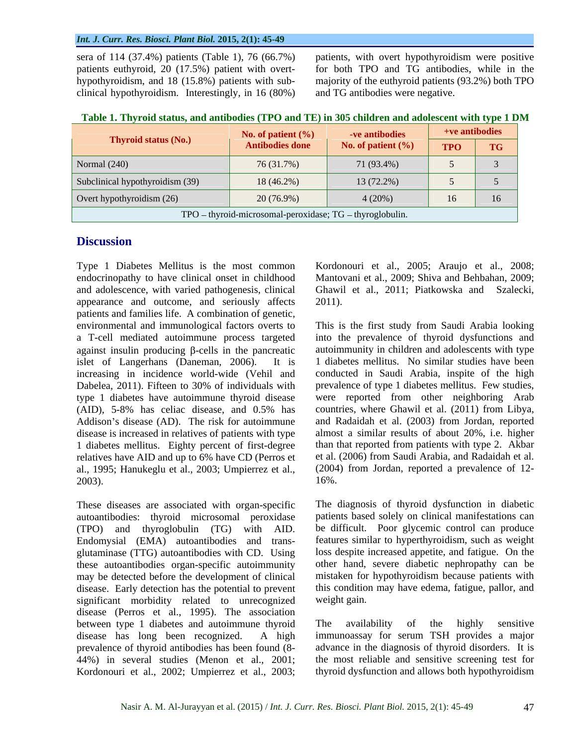#### *Int. J. Curr. Res. Biosci. Plant Biol.* **2015, 2(1): 45-49**

hypothyroidism, and 18 (15.8%) patients with sub clinical hypothyroidism. Interestingly, in 16 (80%)

sera of 114 (37.4%) patients(Table 1), 76 (66.7%) patients, with overt hypothyroidism were positive patients euthyroid, 20 (17.5%) patient with overt- for both TPO and TG antibodies, while in the majority of the euthyroid patients (93.2%) both TPO and TG antibodies were negative.

| Table 1. Thyroid status, and antibodies (TPO and TE) in 305 children and adolescent with type 1 DM |  |  |
|----------------------------------------------------------------------------------------------------|--|--|
|                                                                                                    |  |  |

| No. of patient $(\% )$<br><b>ve antibodies</b> |                                                          |                       | +ve antibodies |    |
|------------------------------------------------|----------------------------------------------------------|-----------------------|----------------|----|
| Thyroid status (No.)                           | <b>Antibodies done</b>                                   | No. of patient $(\%)$ | TPO TG         |    |
| Normal (240)                                   | 76 (31.7%)                                               | 71 (93.4%)            |                |    |
| Subclinical hypothyroidism (39)                | 18 (46.2%)                                               | $13(72.2\%)$          |                |    |
| Overt hypothyroidism (26)                      | 20(76.9%)                                                | $4(20\%)$             |                | 16 |
|                                                | TPO - thyroid-microsomal-peroxidase; TG - thyroglobulin. |                       |                |    |

### **Discussion**

Type 1 Diabetes Mellitus is the most common Kordonouri et al., 2005; Araujo et al., 2008; endocrinopathy to have clinical onset in childhood Mantovani et al., 2009; Shiva and Behbahan, 2009; and adolescence, with varied pathogenesis, clinical appearance and outcome, and seriously affects 2011). patients and families life. A combination of genetic, a T-cell mediated autoimmune process targeted against insulin producing  $\beta$ -cells in the pancreatic increasing in incidence world-wide (Vehil and Dabelea, 2011). Fifteen to 30% of individuals with type 1 diabetes have autoimmune thyroid disease Addison's disease (AD). The risk for autoimmune disease is increased in relatives of patients with type 1 diabetes mellitus. Eighty percent of first-degree relatives have AID and up to 6% have CD (Perros et al., 1995; Hanukeglu et al., 2003; Umpierrez et al.,  $16\%$ .

autoantibodies: thyroid microsomal peroxidase (TPO) and thyroglobulin (TG) with AID. glutaminase (TTG) autoantibodies with CD. Using these autoantibodies organ-specific autoimmunity disease. Early detection has the potential to prevent significant morbidity related to unrecognized weight gain. disease (Perros et al., 1995). The association between type 1 diabetes and autoimmune thyroid The availability of the highly sensitive disease has long been recognized. A high immunoassay for serum TSH provides a major prevalence of thyroid antibodies has been found (8- advance in the diagnosis of thyroid disorders. It is 44%) in several studies (Menon et al., 2001; Kordonouri et al., 2002; Umpierrez et al., 2003;

Ghawil et al., 2011; Piatkowska and Szalecki, 2011).

environmental and immunological factors overts to This is the first study from Saudi Arabia looking islet of Langerhans (Daneman, 2006). It is 1 diabetes mellitus. No similar studies have been (AID), 5-8% has celiac disease, and 0.5% has countries, where Ghawil et al. (2011) from Libya, into the prevalence of thyroid dysfunctions and autoimmunity in children and adolescents with type conducted in Saudi Arabia, inspite of the high prevalence of type 1 diabetes mellitus. Few studies, were reported from other neighboring Arab and Radaidah et al. (2003) from Jordan, reported almost a similar results of about 20%, i.e. higher than that reported from patients with type 2. Akbar et al. (2006) from Saudi Arabia, and Radaidah et al. (2004) from Jordan, reported a prevalence of 12- 16%.

These diseases are associated with organ-specific The diagnosis of thyroid dysfunction in diabetic Endomysial (EMA) autoantibodies and trans- features similar to hyperthyroidism, such as weight may be detected before the development of clinical mistaken for hypothyroidism because patients with patients based solely on clinical manifestations can be difficult. Poor glycemic control can produce loss despite increased appetite, and fatigue. On the other hand, severe diabetic nephropathy can be this condition may have edema, fatigue, pallor, and weight gain.

> The availability of the highly sensitive the most reliable and sensitive screening test for thyroid dysfunction and allows both hypothyroidism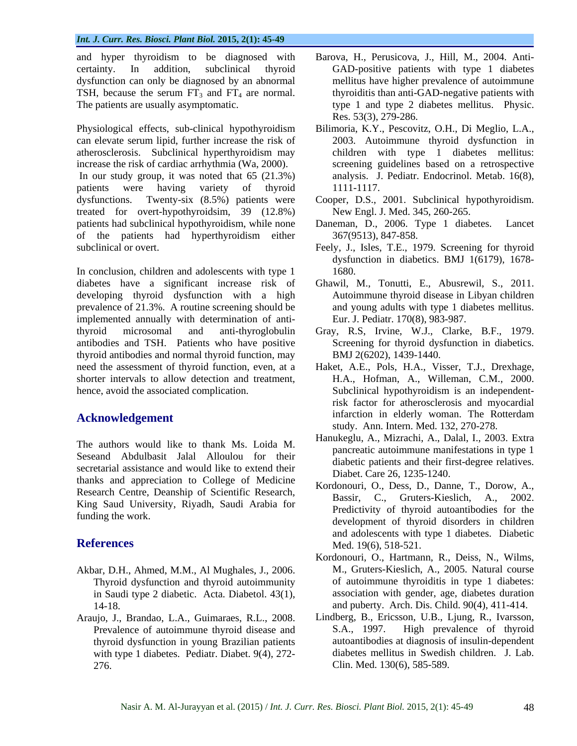TSH, because the serum  $FT_3$  and  $FT_4$  are normal.

can elevate serum lipid, further increase the risk of atherosclerosis. Subclinical hyperthyroidism may increase the risk of cardiac arrhythmia (Wa, 2000). patients were having variety of thyroid 1111-1117. dysfunctions. Twenty-six (8.5%) patients were Cooper, D.S., 2001. Subclinical hypothyroidism. treated for overt-hypothyroidsim, 39 (12.8%) patients had subclinical hypothyroidism, while none Daneman, D., 2006. Type 1 diabetes. Lancet of the patients had hyperthyroidism either

In conclusion, children and adolescents with type 1 1680. diabetes have a significant increase risk of Ghawil, M., Tonutti, E., Abusrewil, S., 2011. developing thyroid dysfunction with a high prevalence of 21.3%. A routine screening should be implemented annually with determination of antithyroid microsomal and anti-thyroglobulin Gray, R.S, Irvine, W.J., Clarke, B.F., 1979. antibodies and TSH. Patients who have positive thyroid antibodies and normal thyroid function, may need the assessment of thyroid function, even, at a Haket, A.E., Pols, H.A., Visser, T.J., Drexhage, shorter intervals to allow detection and treatment, H.A., Hofman, A., Willeman, C.M., 2000. hence, avoid the associated complication. Subclinical hypothyroidism is an independent-

The authors would like to thank Ms. Loida M. Seseand Abdulbasit Jalal Alloulou for their secretarial assistance and would like to extend their thanks and appreciation to College of Medicine Research Centre, Deanship of Scientific Research, Bassir, C., Gruters-Kieslich, A., 2002. King Saud University, Riyadh, Saudi Arabia for

- Akbar, D.H., Ahmed, M.M., Al Mughales, J., 2006. Thyroid dysfunction and thyroid autoimmunity in Saudi type 2 diabetic. Acta. Diabetol. 43(1),
- Araujo, J., Brandao, L.A., Guimaraes, R.L., 2008. Lindberg, B., Ericsson, U.B., Ljung, R., Ivarsson, Prevalence of autoimmune thyroid disease and S.A., 1997. High prevalence of thyroid Prevalence of autoimmune thyroid disease and S.A., 1997. thyroid dysfunction in young Brazilian patients with type 1 diabetes. Pediatr. Diabet. 9(4), 272-
- and hyper thyroidism to be diagnosed with Barova, H., Perusicova, J., Hill, M., 2004. Anti certainty. In addition, subclinical thyroid GAD-positive patients with type 1 diabetes dysfunction can only be diagnosed by an abnormal mellitus have higher prevalence of autoimmune The patients are usually asymptomatic. type 1 and type 2 diabetes mellitus. Physic. thyroiditis than anti-GAD-negative patients with Res. 53(3), 279-286.
- Physiological effects, sub-clinical hypothyroidism Bilimoria, K.Y., Pescovitz, O.H., Di Meglio, L.A., In our study group, it was noted that 65 (21.3%) analysis. J. Pediatr. Endocrinol. Metab. 16(8), 2003. Autoimmune thyroid dysfunction in children with type 1 diabetes mellitus: screening guidelines based on a retrospective 1111-1117.
	- New Engl. J. Med. 345, 260-265.
	- Daneman, D., 2006. Type 1 diabetes. 367(9513), 847-858.
- subclinical or overt. Feely, J., Isles, T.E., 1979. Screening for thyroid dysfunction in diabetics. BMJ 1(6179), 1678- 1680.
	- Autoimmune thyroid disease in Libyan children and young adults with type 1 diabetes mellitus. Eur. J. Pediatr. 170(8), 983-987.
	- Screening for thyroid dysfunction in diabetics. BMJ 2(6202), 1439-1440.
- **Acknowledgement** infarction in elderly woman. The Rotterdam risk factor for atherosclerosis and myocardial study. Ann. Intern. Med. 132, 270-278.
	- Hanukeglu, A., Mizrachi, A., Dalal, I., 2003. Extra pancreatic autoimmune manifestations in type 1 diabetic patients and their first-degree relatives. Diabet. Care 26, 1235-1240.
- funding the work.<br>
development of thyroid disorders in children **References** Med. 19(6), 518-521. Kordonouri, O., Dess, D., Danne, T., Dorow, A., C., Gruters-Kieslich, Predictivity of thyroid autoantibodies for the and adolescents with type 1 diabetes. Diabetic Med. 19(6), 518-521.
	- 14-18. and puberty. Arch. Dis. Child. 90(4), 411-414. Kordonouri, O., Hartmann, R., Deiss, N., Wilms, M., Gruters-Kieslich, A., 2005. Natural course of autoimmune thyroiditis in type 1 diabetes: association with gender, age, diabetes duration
	- 276. Clin. Med. 130(6), 585-589.Lindberg, B., Ericsson, U.B., Ljung, R., Ivarsson, S.A., 1997. High prevalence of thyroid autoantibodies at diagnosis of insulin-dependent diabetes mellitus in Swedish children. J. Lab.